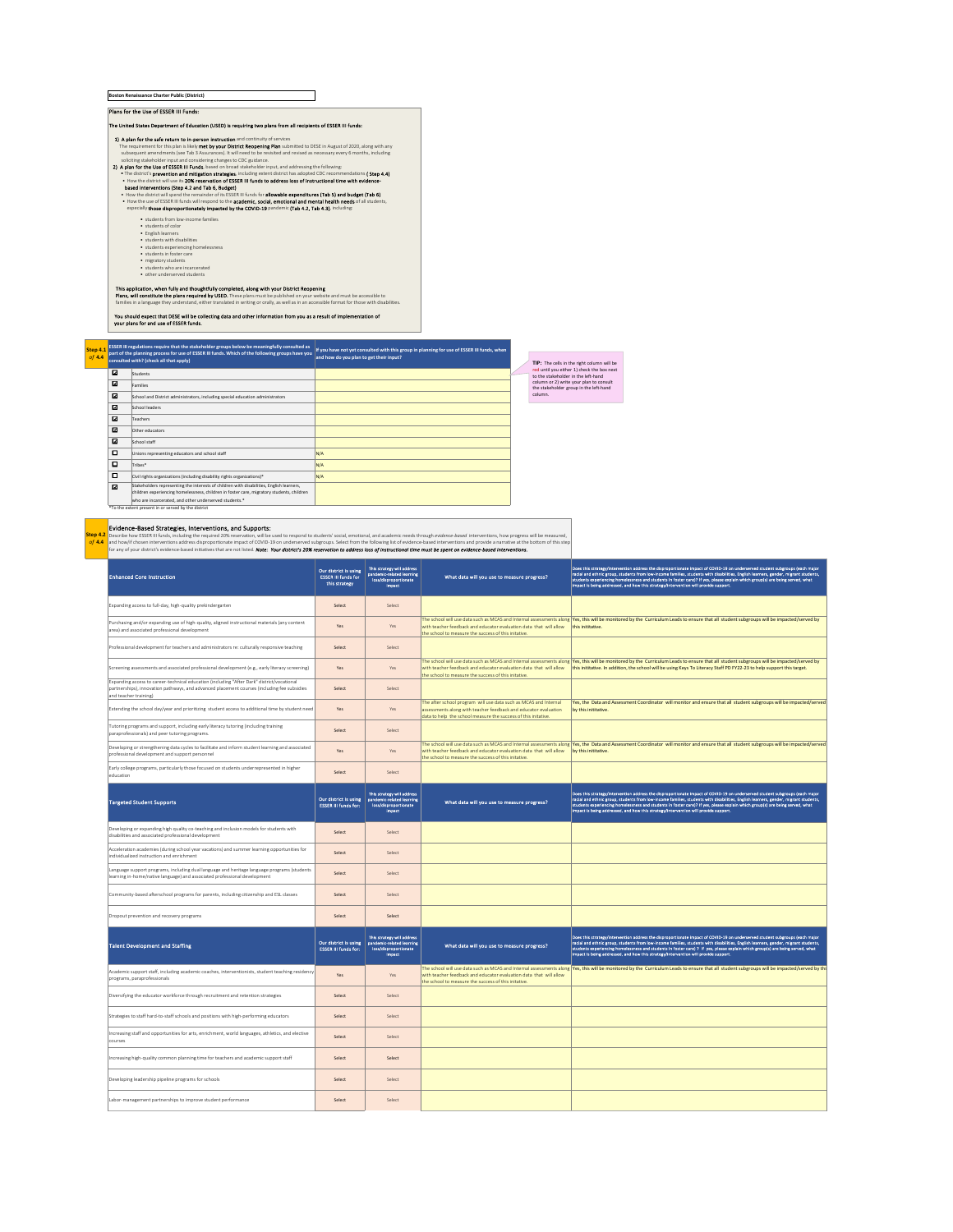| Plans for the Use of ESSER III Funds:                                                                                                                                                                                     |
|---------------------------------------------------------------------------------------------------------------------------------------------------------------------------------------------------------------------------|
| The United States Department of Education (USED) is requiring two plans from all recipients of ESSER III funds:                                                                                                           |
| 1) A plan for the safe return to in-person instruction and continuity of services                                                                                                                                         |
| The requirement for this plan is likely met by your District Reopening Plan submitted to DESE in August of 2020, along with any                                                                                           |
| subsequent amendments (see Tab 3 Assurances). It will need to be revisited and revised as necessary every 6 months, including                                                                                             |
| soliciting stakeholder input and considering changes to CDC guidance.                                                                                                                                                     |
| 2) A plan for the Use of ESSER III Funds, based on broad stakeholder input, and addressing the following:                                                                                                                 |
| . The district's prevention and mitigation strategies, including extent district has adopted CDC recommendations ( Step 4.4)                                                                                              |
| . How the district will use its 20% reservation of ESSER III funds to address loss of instructional time with evidence-                                                                                                   |
| based interventions (Step 4.2 and Tab 6, Budget)                                                                                                                                                                          |
| . How the district will spend the remainder of its ESSER III funds for allowable expenditures (Tab 5) and budget (Tab 6)                                                                                                  |
| . How the use of ESSER III funds will respond to the academic, social, emotional and mental health needs of all students,                                                                                                 |
| especially those disproportionately impacted by the COVID-19 pandemic (Tab 4.2, Tab 4.3), including:                                                                                                                      |
| · students from low-income families                                                                                                                                                                                       |
| · students of color                                                                                                                                                                                                       |
| · English learners                                                                                                                                                                                                        |
| · students with disabilities                                                                                                                                                                                              |
| · students experiencing homelessness                                                                                                                                                                                      |
| · students in foster care                                                                                                                                                                                                 |
| · migratory students                                                                                                                                                                                                      |
| . students who are incarcerated                                                                                                                                                                                           |
| . other underserved students                                                                                                                                                                                              |
|                                                                                                                                                                                                                           |
| This application, when fully and thoughtfully completed, along with your District Reopening<br>Plans, will constitute the plans required by USED. These plans must be published on your website and must be accessible to |
| families in a language they understand, either translated in writing or orally, as well as in an accessible format for those with disabilities.                                                                           |
|                                                                                                                                                                                                                           |

| Step 4.1 |                                                     | ESSER III regulations require that the stakeholder groups below be meaningfully consulted as                                                                                          | If you have not yet consulted with this group in planning for use of ESSER III funds, when<br>and how do you plan to get their input? |  |                                                                                   |  |
|----------|-----------------------------------------------------|---------------------------------------------------------------------------------------------------------------------------------------------------------------------------------------|---------------------------------------------------------------------------------------------------------------------------------------|--|-----------------------------------------------------------------------------------|--|
| of 4.4   |                                                     | part of the planning process for use of ESSER III funds. Which of the following groups have you<br>consulted with? (check all that apply)                                             |                                                                                                                                       |  | TIP: The cells in the right column will be                                        |  |
|          | 図                                                   | <b>Students</b>                                                                                                                                                                       |                                                                                                                                       |  | red until you either 1) check the box next<br>to the stakeholder in the left-hand |  |
|          | ⊡                                                   | Families                                                                                                                                                                              |                                                                                                                                       |  | column or 2) write your plan to consult<br>the stakeholder group in the left-hand |  |
|          | 囜                                                   | School and District administrators, including special education administrators                                                                                                        |                                                                                                                                       |  | column                                                                            |  |
|          | ø                                                   | School leaders                                                                                                                                                                        |                                                                                                                                       |  |                                                                                   |  |
|          | 囨                                                   | Teachers                                                                                                                                                                              |                                                                                                                                       |  |                                                                                   |  |
|          | 囨                                                   | Other educators                                                                                                                                                                       |                                                                                                                                       |  |                                                                                   |  |
|          | 囜                                                   | School staff                                                                                                                                                                          |                                                                                                                                       |  |                                                                                   |  |
|          | $\Box$                                              | Unions representing educators and school staff                                                                                                                                        | N/A                                                                                                                                   |  |                                                                                   |  |
|          | O                                                   | Tribes*                                                                                                                                                                               | N/A                                                                                                                                   |  |                                                                                   |  |
|          | $\Box$                                              | Civil rights organizations (including disability rights organizations)*                                                                                                               | N/A                                                                                                                                   |  |                                                                                   |  |
|          | 囜                                                   | Stakeholders representing the interests of children with disabilities, English learners,<br>children experiencing homelessness, children in foster care, migratory students, children |                                                                                                                                       |  |                                                                                   |  |
|          |                                                     | who are incarcerated, and other underserved students. <sup>*</sup>                                                                                                                    |                                                                                                                                       |  |                                                                                   |  |
|          | *To the extent present in or served by the district |                                                                                                                                                                                       |                                                                                                                                       |  |                                                                                   |  |

**Step 4.2** *of* **4.4** Evidence-Based Strategies, Interventions, and Supports:<br>Describe wiss in lined, including the required 20% reervation, will be used to report the substantional and academic metals and academic metals and provide a market a

| <b>Enhanced Core Instruction</b>                                                                                                                                                                                   | Our district is using<br><b>ESSER III funds for</b><br>this strategy | This strategy will address<br>pandemic-related learning<br>loss/disproportionate<br><b>Impact</b> | What data will you use to measure progress?                                                                                                                                                          | Does this stratagy/intervention address the disproportionate impact of COVID-19 on underserved student subgroups (each major<br>racial and ethnic group, students from low-income families, students with disabilities, English l<br>i state and comme groups, students trom two-motor remaines, students with missurations, represents a general student<br> students experiencing homelessness and students in foster care)? If yes, please explain which group(s) a |
|--------------------------------------------------------------------------------------------------------------------------------------------------------------------------------------------------------------------|----------------------------------------------------------------------|---------------------------------------------------------------------------------------------------|------------------------------------------------------------------------------------------------------------------------------------------------------------------------------------------------------|------------------------------------------------------------------------------------------------------------------------------------------------------------------------------------------------------------------------------------------------------------------------------------------------------------------------------------------------------------------------------------------------------------------------------------------------------------------------|
| Expanding access to full-day, high-quality prekindergarten                                                                                                                                                         | Select                                                               | Select                                                                                            |                                                                                                                                                                                                      |                                                                                                                                                                                                                                                                                                                                                                                                                                                                        |
| Purchasing and/or expanding use of high-quality, aligned instructional materials (any content<br>area) and associated professional development                                                                     | Yes                                                                  | Yes                                                                                               | vith teacher feedback and educator evaluation data that will allow<br>he school to measure the success of this initative                                                                             | The school will use data such as MCAS and Internal assessments along Yes, this will be monitored by the Curriculum Leads to ensure that all student subgroups will be impacted/served by<br>this inititative.                                                                                                                                                                                                                                                          |
| Professional development for teachers and administrators re: culturally responsive teaching                                                                                                                        | Select                                                               | Select                                                                                            |                                                                                                                                                                                                      |                                                                                                                                                                                                                                                                                                                                                                                                                                                                        |
| Screening assessments and associated professional development (e.g., early literacy screening)                                                                                                                     | <b>Yes</b>                                                           | <b>Yes</b>                                                                                        | with teacher feedback and educator evaluation data that will allow<br>he school to measure the success of this initative                                                                             | The school will use data such as MCAS and Internal assessments along Yes, this will be monitored by the Curriculum Leads to ensure that all student subgroups will be impacted/served by<br>this inititative. In addition, the school will be using Keys To Literacy Staff PD FY22-23 to help support this target.                                                                                                                                                     |
| Expanding access to career-technical education (including "After Dark" district/vocational<br>partnerships), innovation pathways, and advanced placement courses (including fee subsidies<br>and teacher training) | Select                                                               | Select                                                                                            |                                                                                                                                                                                                      |                                                                                                                                                                                                                                                                                                                                                                                                                                                                        |
| Extending the school day/year and prioritizing student access to additional time by student need                                                                                                                   | Yes                                                                  | Yes                                                                                               | The after school program will use data such as MCAS and Internal<br>assessments along with teacher feedback and educator evaluation<br>data to help the school measure the success of this initative | Yes, the Data and Assessment Coordinator will monitor and ensure that all student subgroups will be impacted/served<br>by this inititative.                                                                                                                                                                                                                                                                                                                            |
| Tutoring programs and support, including early literacy tutoring (including training<br>paraprofessionals) and peer tutoring programs.                                                                             | Select                                                               | Select                                                                                            |                                                                                                                                                                                                      |                                                                                                                                                                                                                                                                                                                                                                                                                                                                        |
| Developing or strengthening data cycles to facilitate and inform student learning and associated<br>professional development and support personnel                                                                 | Yes                                                                  | Yes                                                                                               | with teacher feedback and educator evaluation data that will allow<br>the school to measure the success of this initative.                                                                           | The school will use data such as MCAS and Internal assessments along Yes, the Data and Assessment Coordinator will monitor and ensure that all student subgroups will be impacted/served<br>by this inititative                                                                                                                                                                                                                                                        |
| Early college programs, particularly those focused on students underrepresented in higher<br>education                                                                                                             | Select                                                               | Select                                                                                            |                                                                                                                                                                                                      |                                                                                                                                                                                                                                                                                                                                                                                                                                                                        |
| <b>Targeted Student Supports</b>                                                                                                                                                                                   | Our district is using<br><b>ESSER III funds for:</b>                 | This strategy will address<br>pandemic-related learning<br>loss/disproportionate<br><b>Impact</b> | What data will you use to measure progress?                                                                                                                                                          | Does this strategy/intervention address the disproportionate impact of COVID-19 on underserved student subgroups (each major<br>Tracks and ethnic group, students from low-income families, students with disabilities, English i<br>mpact is being addressed, and how this strategy/intervention will provide support.                                                                                                                                                |
| Developing or expanding high quality co-teaching and inclusion models for students with<br>disabilities and associated professional development                                                                    | Select                                                               | Select                                                                                            |                                                                                                                                                                                                      |                                                                                                                                                                                                                                                                                                                                                                                                                                                                        |
| Acceleration academies (during school year vacations) and summer learning opportunities for<br>individualized instruction and enrichment                                                                           | Select                                                               | Select                                                                                            |                                                                                                                                                                                                      |                                                                                                                                                                                                                                                                                                                                                                                                                                                                        |
| Language support programs, including dual language and heritage language programs (students<br>learning in-home/native language) and associated professional development                                           | Select                                                               | Select                                                                                            |                                                                                                                                                                                                      |                                                                                                                                                                                                                                                                                                                                                                                                                                                                        |
| Community-based afterschool programs for parents, including citizenship and ESL classes                                                                                                                            | Select                                                               | Select                                                                                            |                                                                                                                                                                                                      |                                                                                                                                                                                                                                                                                                                                                                                                                                                                        |
| Dropout prevention and recovery programs                                                                                                                                                                           | Select                                                               | Select                                                                                            |                                                                                                                                                                                                      |                                                                                                                                                                                                                                                                                                                                                                                                                                                                        |
| <b>Talent Development and Staffing</b>                                                                                                                                                                             | Our district is using<br><b>ESSER III funds for:</b>                 | This strategy will address<br>pandemic-related learning<br>loss/disproportionate<br><b>Impact</b> | What data will you use to measure progress?                                                                                                                                                          | Does this strategy/intervention address the disproportionate impact of COVID-19 on underserved student subgroups (each major<br>Tracks and ethnic group, students from low-income families, students with disabilities, English i<br>mpact is being addressed, and how this strategy/intervention will provide support.                                                                                                                                                |
| Academic support staff, including academic coaches, interventionists, student teaching residency<br>programs, paraprofessionals                                                                                    | Yes                                                                  | Yes                                                                                               | with teacher feedback and educator evaluation data that will allow<br>he school to measure the success of this initative.                                                                            | The school will use data such as MCAS and Internal assessments along  Yes, this will be monitored by the Curriculum Leads to ensure that all student subgroups will be impacted/served by th                                                                                                                                                                                                                                                                           |
| Diversifying the educator workforce through recruitment and retention strategies                                                                                                                                   | Select                                                               | Select                                                                                            |                                                                                                                                                                                                      |                                                                                                                                                                                                                                                                                                                                                                                                                                                                        |
| Strategies to staff hard-to-staff schools and positions with high-performing educators                                                                                                                             | Select                                                               | Select                                                                                            |                                                                                                                                                                                                      |                                                                                                                                                                                                                                                                                                                                                                                                                                                                        |
| Increasing staff and opportunities for arts, enrichment, world languages, athletics, and elective<br>courses                                                                                                       | Select                                                               | Select                                                                                            |                                                                                                                                                                                                      |                                                                                                                                                                                                                                                                                                                                                                                                                                                                        |
| Increasing high-quality common planning time for teachers and academic support staff                                                                                                                               | Select                                                               | Select                                                                                            |                                                                                                                                                                                                      |                                                                                                                                                                                                                                                                                                                                                                                                                                                                        |
| Developing leadership pipeline programs for schools                                                                                                                                                                | Select                                                               | Select                                                                                            |                                                                                                                                                                                                      |                                                                                                                                                                                                                                                                                                                                                                                                                                                                        |
| Labor-management partnerships to improve student performance                                                                                                                                                       | Select                                                               | Select                                                                                            |                                                                                                                                                                                                      |                                                                                                                                                                                                                                                                                                                                                                                                                                                                        |